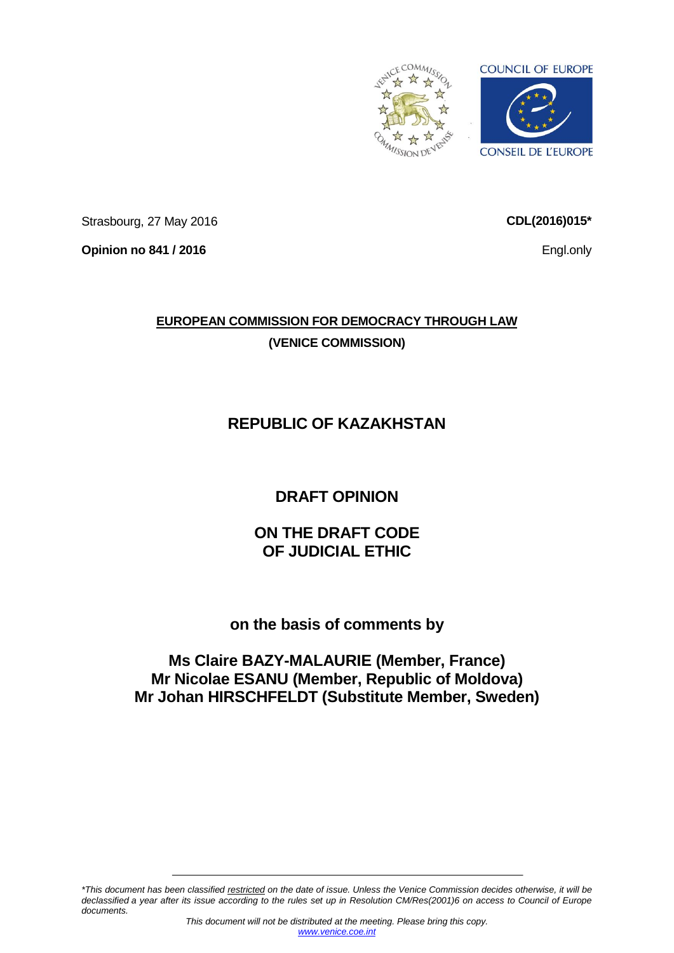

Strasbourg, 27 May 2016

**Opinion no 841 / 2016**

**CDL(2016)015\***

Engl.only

# **EUROPEAN COMMISSION FOR DEMOCRACY THROUGH LAW (VENICE COMMISSION)**

# **REPUBLIC OF KAZAKHSTAN**

# **DRAFT OPINION**

## **ON THE DRAFT CODE OF JUDICIAL ETHIC**

## **on the basis of comments by**

## **Ms Claire BAZY-MALAURIE (Member, France) Mr Nicolae ESANU (Member, Republic of Moldova) Mr Johan HIRSCHFELDT (Substitute Member, Sweden)**

*\*This document has been classified restricted on the date of issue. Unless the Venice Commission decides otherwise, it will be declassified a year after its issue according to the rules set up in Resolution CM/Res(2001)6 on access to Council of Europe documents.*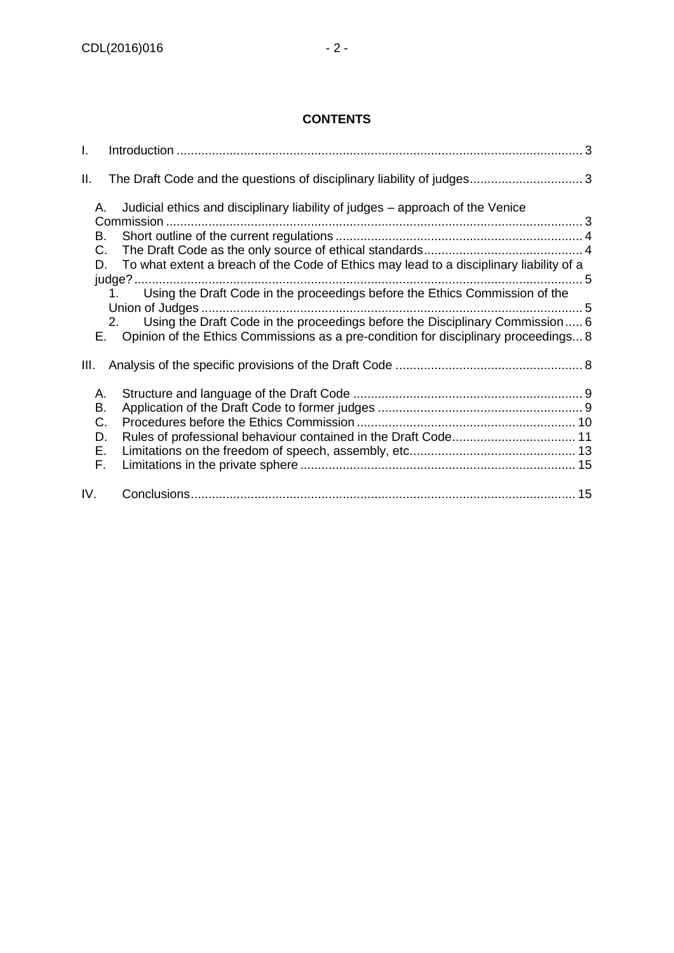#### **CONTENTS**

| I.                               |                                                                                                                                                                                                                                                                                                                                                                                                                                                        |  |
|----------------------------------|--------------------------------------------------------------------------------------------------------------------------------------------------------------------------------------------------------------------------------------------------------------------------------------------------------------------------------------------------------------------------------------------------------------------------------------------------------|--|
| Ш.                               |                                                                                                                                                                                                                                                                                                                                                                                                                                                        |  |
| А.<br>В.<br>C.                   | Judicial ethics and disciplinary liability of judges – approach of the Venice<br>To what extent a breach of the Code of Ethics may lead to a disciplinary liability of a<br>D.<br>Using the Draft Code in the proceedings before the Ethics Commission of the<br>1.<br>Using the Draft Code in the proceedings before the Disciplinary Commission 6<br>2.<br>Opinion of the Ethics Commissions as a pre-condition for disciplinary proceedings 8<br>E. |  |
| III.                             |                                                                                                                                                                                                                                                                                                                                                                                                                                                        |  |
| А.<br>В.<br>C.<br>D.<br>Е.<br>F. | Rules of professional behaviour contained in the Draft Code 11                                                                                                                                                                                                                                                                                                                                                                                         |  |
| IV.                              |                                                                                                                                                                                                                                                                                                                                                                                                                                                        |  |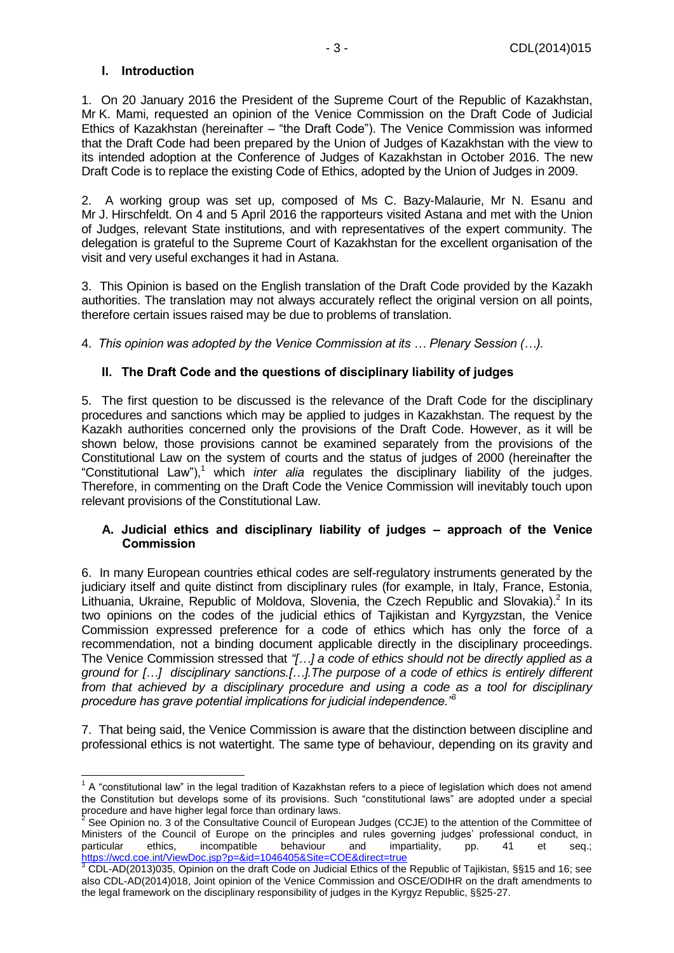#### <span id="page-2-0"></span>**I. Introduction**

1. On 20 January 2016 the President of the Supreme Court of the Republic of Kazakhstan, Mr K. Mami, requested an opinion of the Venice Commission on the Draft Code of Judicial Ethics of Kazakhstan (hereinafter – "the Draft Code"). The Venice Commission was informed that the Draft Code had been prepared by the Union of Judges of Kazakhstan with the view to its intended adoption at the Conference of Judges of Kazakhstan in October 2016. The new Draft Code is to replace the existing Code of Ethics, adopted by the Union of Judges in 2009.

2. A working group was set up, composed of Ms C. Bazy-Malaurie, Mr N. Esanu and Mr J. Hirschfeldt. On 4 and 5 April 2016 the rapporteurs visited Astana and met with the Union of Judges, relevant State institutions, and with representatives of the expert community. The delegation is grateful to the Supreme Court of Kazakhstan for the excellent organisation of the visit and very useful exchanges it had in Astana.

3. This Opinion is based on the English translation of the Draft Code provided by the Kazakh authorities. The translation may not always accurately reflect the original version on all points, therefore certain issues raised may be due to problems of translation.

4. *This opinion was adopted by the Venice Commission at its … Plenary Session (…).*

#### <span id="page-2-1"></span>**II. The Draft Code and the questions of disciplinary liability of judges**

5. The first question to be discussed is the relevance of the Draft Code for the disciplinary procedures and sanctions which may be applied to judges in Kazakhstan. The request by the Kazakh authorities concerned only the provisions of the Draft Code. However, as it will be shown below, those provisions cannot be examined separately from the provisions of the Constitutional Law on the system of courts and the status of judges of 2000 (hereinafter the "Constitutional Law"),<sup>1</sup> which *inter alia* regulates the disciplinary liability of the judges. Therefore, in commenting on the Draft Code the Venice Commission will inevitably touch upon relevant provisions of the Constitutional Law.

#### <span id="page-2-2"></span>**A. Judicial ethics and disciplinary liability of judges – approach of the Venice Commission**

6. In many European countries ethical codes are self-regulatory instruments generated by the judiciary itself and quite distinct from disciplinary rules (for example, in Italy, France, Estonia, Lithuania, Ukraine, Republic of Moldova, Slovenia, the Czech Republic and Slovakia).<sup>2</sup> In its two opinions on the codes of the judicial ethics of Tajikistan and Kyrgyzstan, the Venice Commission expressed preference for a code of ethics which has only the force of a recommendation, not a binding document applicable directly in the disciplinary proceedings. The Venice Commission stressed that *"[…] a code of ethics should not be directly applied as a ground for […] disciplinary sanctions.[…].The purpose of a code of ethics is entirely different from that achieved by a disciplinary procedure and using a code as a tool for disciplinary procedure has grave potential implications for judicial independence."*<sup>3</sup>

7. That being said, the Venice Commission is aware that the distinction between discipline and professional ethics is not watertight. The same type of behaviour, depending on its gravity and

 1 A "constitutional law" in the legal tradition of Kazakhstan refers to a piece of legislation which does not amend the Constitution but develops some of its provisions. Such "constitutional laws" are adopted under a special procedure and have higher legal force than ordinary laws.<br><sup>2</sup> See Orinian no. 2 of the Consultative Council of Europe

See Opinion no. 3 of the Consultative Council of European Judges (CCJE) to the attention of the Committee of Ministers of the Council of Europe on the principles and rules governing judges' professional conduct, in particular ethics, incompatible behaviour and impartiality, pp. 41 et seq.; ethics, incompatible behaviour and impartiality, pp. 41 et seq.; <https://wcd.coe.int/ViewDoc.jsp?p=&id=1046405&Site=COE&direct=true>

 $3$  CDL-AD(2013)035, Opinion on the draft Code on Judicial Ethics of the Republic of Tajikistan, §§15 and 16; see also CDL-AD(2014)018, Joint opinion of the Venice Commission and OSCE/ODIHR on the draft amendments to the legal framework on the disciplinary responsibility of judges in the Kyrgyz Republic, §§25-27.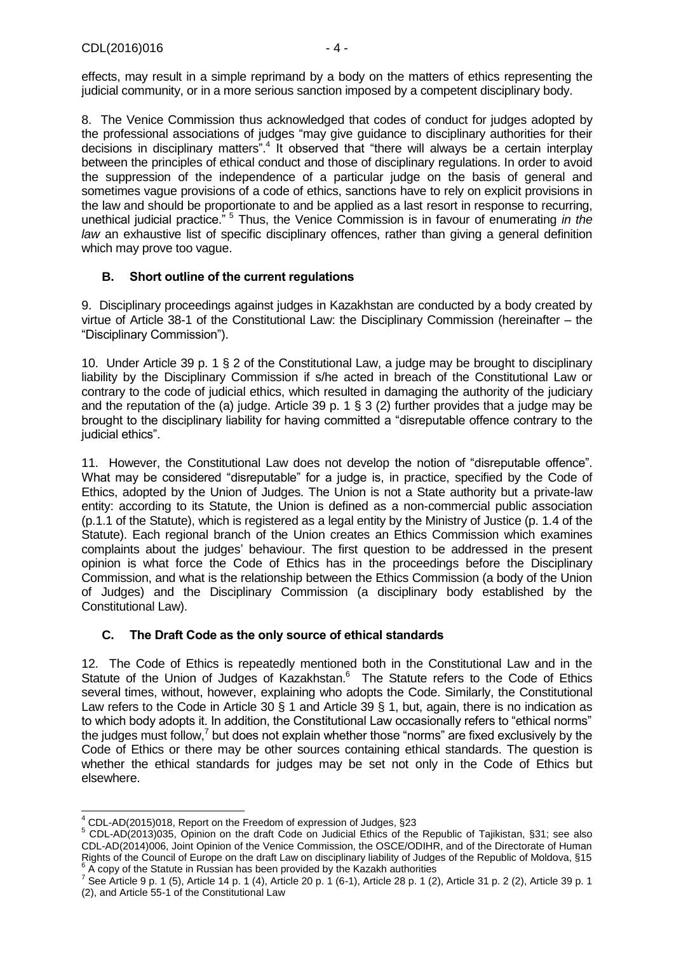effects, may result in a simple reprimand by a body on the matters of ethics representing the judicial community, or in a more serious sanction imposed by a competent disciplinary body.

8. The Venice Commission thus acknowledged that codes of conduct for judges adopted by the professional associations of judges "may give guidance to disciplinary authorities for their decisions in disciplinary matters".<sup>4</sup> It observed that "there will always be a certain interplay between the principles of ethical conduct and those of disciplinary regulations. In order to avoid the suppression of the independence of a particular judge on the basis of general and sometimes vague provisions of a code of ethics, sanctions have to rely on explicit provisions in the law and should be proportionate to and be applied as a last resort in response to recurring, unethical judicial practice." <sup>5</sup> Thus, the Venice Commission is in favour of enumerating *in the law* an exhaustive list of specific disciplinary offences, rather than giving a general definition which may prove too vague.

#### <span id="page-3-0"></span>**B. Short outline of the current regulations**

9. Disciplinary proceedings against judges in Kazakhstan are conducted by a body created by virtue of Article 38-1 of the Constitutional Law: the Disciplinary Commission (hereinafter – the "Disciplinary Commission").

10. Under Article 39 p. 1 § 2 of the Constitutional Law, a judge may be brought to disciplinary liability by the Disciplinary Commission if s/he acted in breach of the Constitutional Law or contrary to the code of judicial ethics, which resulted in damaging the authority of the judiciary and the reputation of the (a) judge. Article 39 p. 1 § 3 (2) further provides that a judge may be brought to the disciplinary liability for having committed a "disreputable offence contrary to the judicial ethics".

11. However, the Constitutional Law does not develop the notion of "disreputable offence". What may be considered "disreputable" for a judge is, in practice, specified by the Code of Ethics, adopted by the Union of Judges. The Union is not a State authority but a private-law entity: according to its Statute, the Union is defined as a non-commercial public association (p.1.1 of the Statute), which is registered as a legal entity by the Ministry of Justice (p. 1.4 of the Statute). Each regional branch of the Union creates an Ethics Commission which examines complaints about the judges' behaviour. The first question to be addressed in the present opinion is what force the Code of Ethics has in the proceedings before the Disciplinary Commission, and what is the relationship between the Ethics Commission (a body of the Union of Judges) and the Disciplinary Commission (a disciplinary body established by the Constitutional Law).

#### <span id="page-3-1"></span>**C. The Draft Code as the only source of ethical standards**

12. The Code of Ethics is repeatedly mentioned both in the Constitutional Law and in the Statute of the Union of Judges of Kazakhstan.<sup>6</sup> The Statute refers to the Code of Ethics several times, without, however, explaining who adopts the Code. Similarly, the Constitutional Law refers to the Code in Article 30 § 1 and Article 39 § 1, but, again, there is no indication as to which body adopts it. In addition, the Constitutional Law occasionally refers to "ethical norms" the judges must follow, $7$  but does not explain whether those "norms" are fixed exclusively by the Code of Ethics or there may be other sources containing ethical standards. The question is whether the ethical standards for judges may be set not only in the Code of Ethics but elsewhere.

 $\overline{a}$  $4$  CDL-AD(2015)018, Report on the Freedom of expression of Judges, §23

<sup>5</sup> CDL-AD(2013)035, Opinion on the draft Code on Judicial Ethics of the Republic of Tajikistan, §31; see also CDL-AD(2014)006, Joint Opinion of the Venice Commission, the OSCE/ODIHR, and of the Directorate of Human Rights of the Council of Europe on the draft Law on disciplinary liability of Judges of the Republic of Moldova, §15<br><sup>6</sup> A sepulation Statute in Bussian has been provided by the Kazakh sutherities A copy of the Statute in Russian has been provided by the Kazakh authorities

<sup>&</sup>lt;sup>7</sup> See Article 9 p. 1 (5), Article 14 p. 1 (4), Article 20 p. 1 (6-1), Article 28 p. 1 (2), Article 31 p. 2 (2), Article 39 p. 1 (2), and Article 55-1 of the Constitutional Law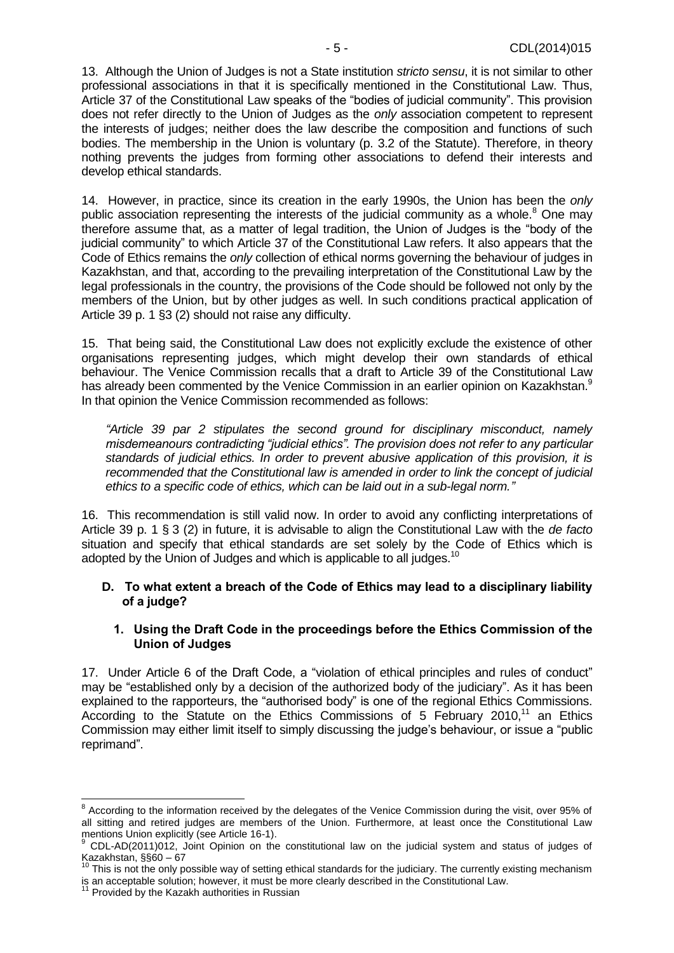13. Although the Union of Judges is not a State institution *stricto sensu*, it is not similar to other professional associations in that it is specifically mentioned in the Constitutional Law. Thus, Article 37 of the Constitutional Law speaks of the "bodies of judicial community". This provision does not refer directly to the Union of Judges as the *only* association competent to represent the interests of judges; neither does the law describe the composition and functions of such bodies. The membership in the Union is voluntary (p. 3.2 of the Statute). Therefore, in theory nothing prevents the judges from forming other associations to defend their interests and develop ethical standards.

14. However, in practice, since its creation in the early 1990s, the Union has been the *only* public association representing the interests of the judicial community as a whole. $8$  One may therefore assume that, as a matter of legal tradition, the Union of Judges is the "body of the judicial community" to which Article 37 of the Constitutional Law refers. It also appears that the Code of Ethics remains the *only* collection of ethical norms governing the behaviour of judges in Kazakhstan, and that, according to the prevailing interpretation of the Constitutional Law by the legal professionals in the country, the provisions of the Code should be followed not only by the members of the Union, but by other judges as well. In such conditions practical application of Article 39 p. 1 §3 (2) should not raise any difficulty.

15. That being said, the Constitutional Law does not explicitly exclude the existence of other organisations representing judges, which might develop their own standards of ethical behaviour. The Venice Commission recalls that a draft to Article 39 of the Constitutional Law has already been commented by the Venice Commission in an earlier opinion on Kazakhstan.<sup>9</sup> In that opinion the Venice Commission recommended as follows:

*"Article 39 par 2 stipulates the second ground for disciplinary misconduct, namely misdemeanours contradicting "judicial ethics". The provision does not refer to any particular standards of judicial ethics. In order to prevent abusive application of this provision, it is recommended that the Constitutional law is amended in order to link the concept of judicial ethics to a specific code of ethics, which can be laid out in a sub-legal norm."*

16. This recommendation is still valid now. In order to avoid any conflicting interpretations of Article 39 p. 1 § 3 (2) in future, it is advisable to align the Constitutional Law with the *de facto* situation and specify that ethical standards are set solely by the Code of Ethics which is adopted by the Union of Judges and which is applicable to all judges.<sup>10</sup>

#### <span id="page-4-0"></span>**D. To what extent a breach of the Code of Ethics may lead to a disciplinary liability of a judge?**

#### <span id="page-4-1"></span>**1. Using the Draft Code in the proceedings before the Ethics Commission of the Union of Judges**

17. Under Article 6 of the Draft Code, a "violation of ethical principles and rules of conduct" may be "established only by a decision of the authorized body of the judiciary". As it has been explained to the rapporteurs, the "authorised body" is one of the regional Ethics Commissions. According to the Statute on the Ethics Commissions of 5 February 2010, $11$  an Ethics Commission may either limit itself to simply discussing the judge's behaviour, or issue a "public reprimand".

 8 According to the information received by the delegates of the Venice Commission during the visit, over 95% of all sitting and retired judges are members of the Union. Furthermore, at least once the Constitutional Law mentions Union explicitly (see Article 16-1).

<sup>9</sup> CDL-AD(2011)012, Joint Opinion on the constitutional law on the judicial system and status of judges of Kazakhstan, §§60 – 67

This is not the only possible way of setting ethical standards for the judiciary. The currently existing mechanism is an acceptable solution; however, it must be more clearly described in the Constitutional Law.

<sup>&</sup>lt;sup>11</sup> Provided by the Kazakh authorities in Russian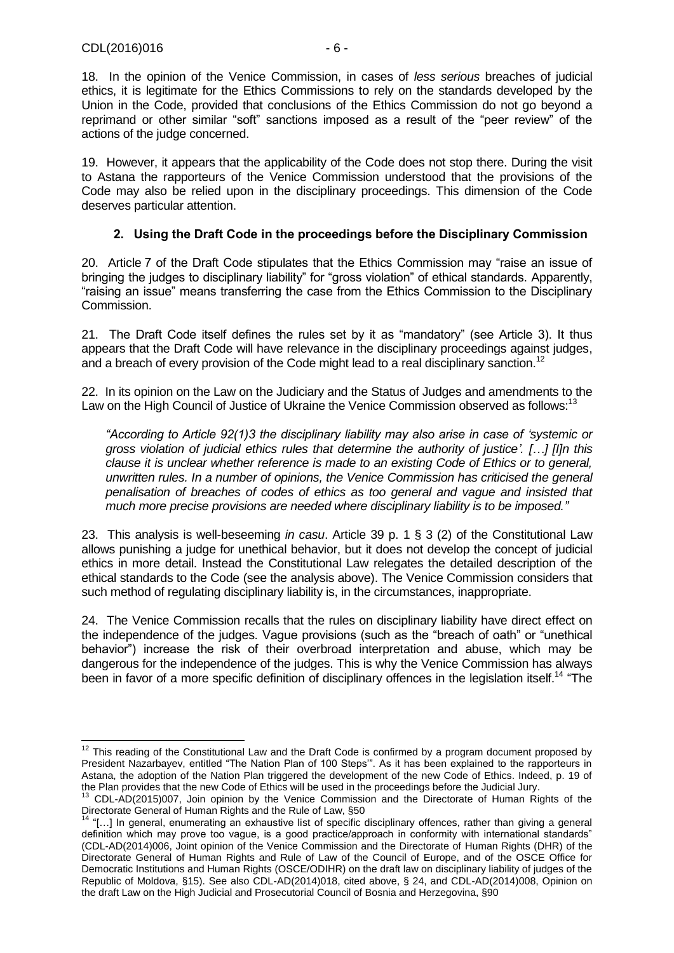-

18. In the opinion of the Venice Commission, in cases of *less serious* breaches of judicial ethics, it is legitimate for the Ethics Commissions to rely on the standards developed by the Union in the Code, provided that conclusions of the Ethics Commission do not go beyond a reprimand or other similar "soft" sanctions imposed as a result of the "peer review" of the actions of the judge concerned.

19. However, it appears that the applicability of the Code does not stop there. During the visit to Astana the rapporteurs of the Venice Commission understood that the provisions of the Code may also be relied upon in the disciplinary proceedings. This dimension of the Code deserves particular attention.

#### **2. Using the Draft Code in the proceedings before the Disciplinary Commission**

<span id="page-5-0"></span>20. Article 7 of the Draft Code stipulates that the Ethics Commission may "raise an issue of bringing the judges to disciplinary liability" for "gross violation" of ethical standards. Apparently, "raising an issue" means transferring the case from the Ethics Commission to the Disciplinary Commission.

21. The Draft Code itself defines the rules set by it as "mandatory" (see Article 3). It thus appears that the Draft Code will have relevance in the disciplinary proceedings against judges, and a breach of every provision of the Code might lead to a real disciplinary sanction.<sup>12</sup>

22. In its opinion on the Law on the Judiciary and the Status of Judges and amendments to the Law on the High Council of Justice of Ukraine the Venice Commission observed as follows:<sup>13</sup>

*"According to Article 92(1)3 the disciplinary liability may also arise in case of 'systemic or gross violation of judicial ethics rules that determine the authority of justice'. […] [I]n this clause it is unclear whether reference is made to an existing Code of Ethics or to general, unwritten rules. In a number of opinions, the Venice Commission has criticised the general penalisation of breaches of codes of ethics as too general and vague and insisted that much more precise provisions are needed where disciplinary liability is to be imposed."*

23. This analysis is well-beseeming *in casu*. Article 39 p. 1 § 3 (2) of the Constitutional Law allows punishing a judge for unethical behavior, but it does not develop the concept of judicial ethics in more detail. Instead the Constitutional Law relegates the detailed description of the ethical standards to the Code (see the analysis above). The Venice Commission considers that such method of regulating disciplinary liability is, in the circumstances, inappropriate.

24. The Venice Commission recalls that the rules on disciplinary liability have direct effect on the independence of the judges. Vague provisions (such as the "breach of oath" or "unethical behavior") increase the risk of their overbroad interpretation and abuse, which may be dangerous for the independence of the judges. This is why the Venice Commission has always been in favor of a more specific definition of disciplinary offences in the legislation itself.<sup>14</sup> "The

 $12$  This reading of the Constitutional Law and the Draft Code is confirmed by a program document proposed by President Nazarbayev, entitled "The Nation Plan of 100 Steps'". As it has been explained to the rapporteurs in Astana, the adoption of the Nation Plan triggered the development of the new Code of Ethics. Indeed, p. 19 of the Plan provides that the new Code of Ethics will be used in the proceedings before the Judicial Jury.

<sup>&</sup>lt;sup>13</sup> CDL-AD(2015)007, Join opinion by the Venice Commission and the Directorate of Human Rights of the Directorate General of Human Rights and the Rule of Law, §50

<sup>14</sup> "[…] In general, enumerating an exhaustive list of specific disciplinary offences, rather than giving a general definition which may prove too vague, is a good practice/approach in conformity with international standards" (CDL-AD(2014)006, Joint opinion of the Venice Commission and the Directorate of Human Rights (DHR) of the Directorate General of Human Rights and Rule of Law of the Council of Europe, and of the OSCE Office for Democratic Institutions and Human Rights (OSCE/ODIHR) on the draft law on disciplinary liability of judges of the Republic of Moldova, §15). See also CDL-AD(2014)018, cited above, § 24, and CDL-AD(2014)008, Opinion on the draft Law on the High Judicial and Prosecutorial Council of Bosnia and Herzegovina, §90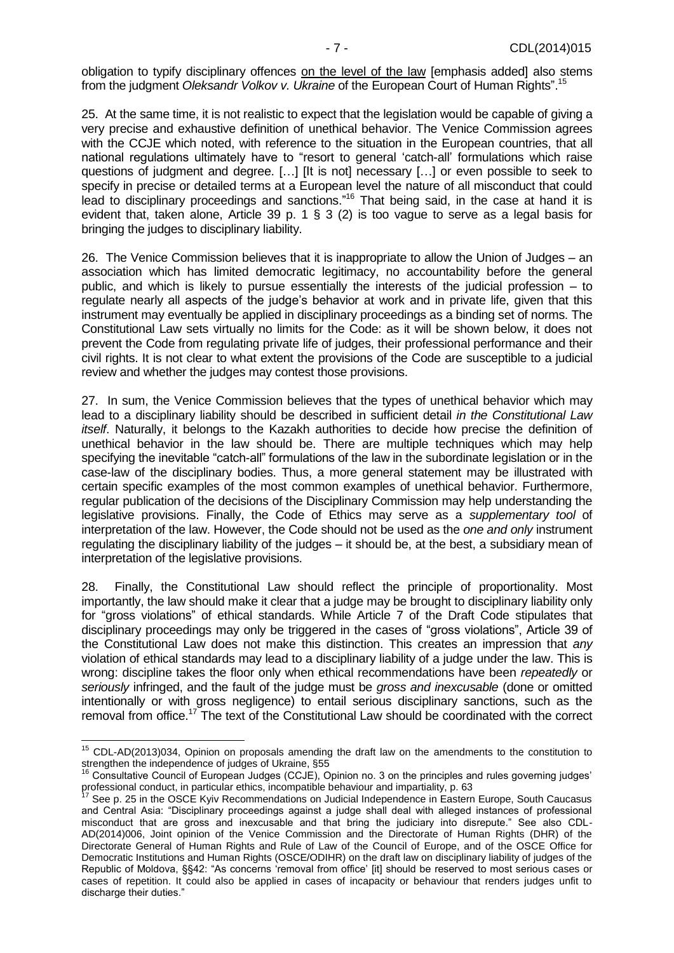obligation to typify disciplinary offences on the level of the law [emphasis added] also stems from the judgment *Oleksandr Volkov v. Ukraine* of the European Court of Human Rights".<sup>15</sup>

25. At the same time, it is not realistic to expect that the legislation would be capable of giving a very precise and exhaustive definition of unethical behavior. The Venice Commission agrees with the CCJE which noted, with reference to the situation in the European countries, that all national regulations ultimately have to "resort to general 'catch-all' formulations which raise questions of judgment and degree. […] [It is not] necessary […] or even possible to seek to specify in precise or detailed terms at a European level the nature of all misconduct that could lead to disciplinary proceedings and sanctions."<sup>16</sup> That being said, in the case at hand it is evident that, taken alone, Article 39 p. 1 § 3 (2) is too vague to serve as a legal basis for bringing the judges to disciplinary liability.

26. The Venice Commission believes that it is inappropriate to allow the Union of Judges – an association which has limited democratic legitimacy, no accountability before the general public, and which is likely to pursue essentially the interests of the judicial profession – to regulate nearly all aspects of the judge's behavior at work and in private life, given that this instrument may eventually be applied in disciplinary proceedings as a binding set of norms. The Constitutional Law sets virtually no limits for the Code: as it will be shown below, it does not prevent the Code from regulating private life of judges, their professional performance and their civil rights. It is not clear to what extent the provisions of the Code are susceptible to a judicial review and whether the judges may contest those provisions.

27. In sum, the Venice Commission believes that the types of unethical behavior which may lead to a disciplinary liability should be described in sufficient detail *in the Constitutional Law itself*. Naturally, it belongs to the Kazakh authorities to decide how precise the definition of unethical behavior in the law should be. There are multiple techniques which may help specifying the inevitable "catch-all" formulations of the law in the subordinate legislation or in the case-law of the disciplinary bodies. Thus, a more general statement may be illustrated with certain specific examples of the most common examples of unethical behavior. Furthermore, regular publication of the decisions of the Disciplinary Commission may help understanding the legislative provisions. Finally, the Code of Ethics may serve as a *supplementary tool* of interpretation of the law. However, the Code should not be used as the *one and only* instrument regulating the disciplinary liability of the judges – it should be, at the best, a subsidiary mean of interpretation of the legislative provisions.

28. Finally, the Constitutional Law should reflect the principle of proportionality. Most importantly, the law should make it clear that a judge may be brought to disciplinary liability only for "gross violations" of ethical standards. While Article 7 of the Draft Code stipulates that disciplinary proceedings may only be triggered in the cases of "gross violations", Article 39 of the Constitutional Law does not make this distinction. This creates an impression that *any* violation of ethical standards may lead to a disciplinary liability of a judge under the law. This is wrong: discipline takes the floor only when ethical recommendations have been *repeatedly* or *seriously* infringed, and the fault of the judge must be *gross and inexcusable* (done or omitted intentionally or with gross negligence) to entail serious disciplinary sanctions, such as the removal from office.<sup>17</sup> The text of the Constitutional Law should be coordinated with the correct

-

<sup>&</sup>lt;sup>15</sup> CDL-AD(2013)034, Opinion on proposals amending the draft law on the amendments to the constitution to strengthen the independence of judges of Ukraine, §55

 $6$  Consultative Council of European Judges (CCJE), Opinion no. 3 on the principles and rules governing judges' professional conduct, in particular ethics, incompatible behaviour and impartiality, p. 63

<sup>17</sup> See p. 25 in the OSCE Kyiv Recommendations on Judicial Independence in Eastern Europe, South Caucasus and Central Asia: "Disciplinary proceedings against a judge shall deal with alleged instances of professional misconduct that are gross and inexcusable and that bring the judiciary into disrepute." See also CDL-AD(2014)006, Joint opinion of the Venice Commission and the Directorate of Human Rights (DHR) of the Directorate General of Human Rights and Rule of Law of the Council of Europe, and of the OSCE Office for Democratic Institutions and Human Rights (OSCE/ODIHR) on the draft law on disciplinary liability of judges of the Republic of Moldova, §§42: "As concerns 'removal from office' [it] should be reserved to most serious cases or cases of repetition. It could also be applied in cases of incapacity or behaviour that renders judges unfit to discharge their duties."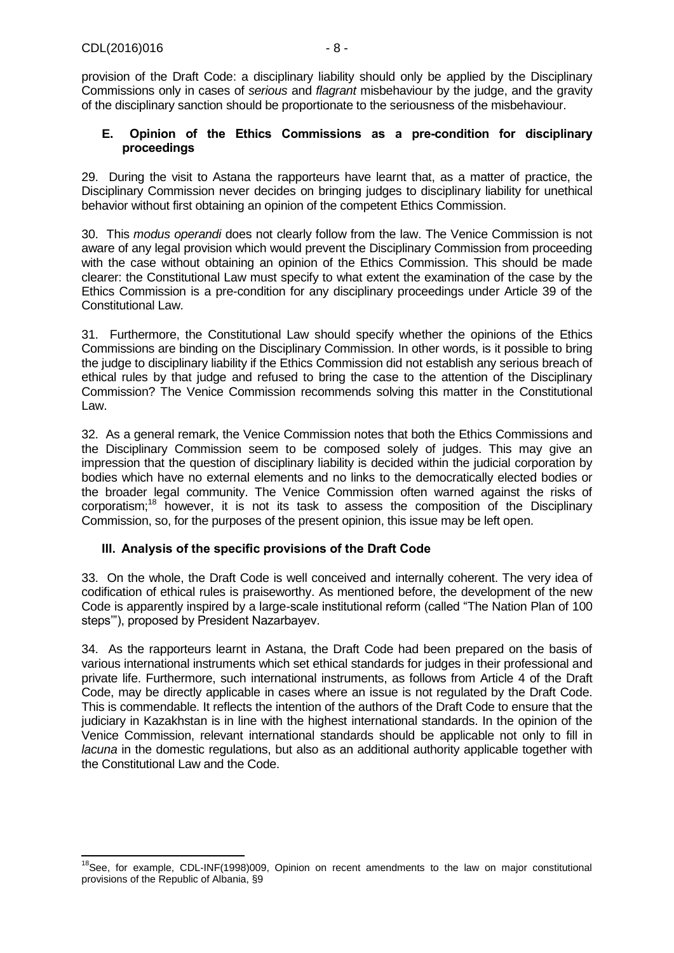provision of the Draft Code: a disciplinary liability should only be applied by the Disciplinary Commissions only in cases of *serious* and *flagrant* misbehaviour by the judge, and the gravity of the disciplinary sanction should be proportionate to the seriousness of the misbehaviour.

#### <span id="page-7-0"></span>**E. Opinion of the Ethics Commissions as a pre-condition for disciplinary proceedings**

29. During the visit to Astana the rapporteurs have learnt that, as a matter of practice, the Disciplinary Commission never decides on bringing judges to disciplinary liability for unethical behavior without first obtaining an opinion of the competent Ethics Commission.

30. This *modus operandi* does not clearly follow from the law. The Venice Commission is not aware of any legal provision which would prevent the Disciplinary Commission from proceeding with the case without obtaining an opinion of the Ethics Commission. This should be made clearer: the Constitutional Law must specify to what extent the examination of the case by the Ethics Commission is a pre-condition for any disciplinary proceedings under Article 39 of the Constitutional Law.

31. Furthermore, the Constitutional Law should specify whether the opinions of the Ethics Commissions are binding on the Disciplinary Commission. In other words, is it possible to bring the judge to disciplinary liability if the Ethics Commission did not establish any serious breach of ethical rules by that judge and refused to bring the case to the attention of the Disciplinary Commission? The Venice Commission recommends solving this matter in the Constitutional Law.

32. As a general remark, the Venice Commission notes that both the Ethics Commissions and the Disciplinary Commission seem to be composed solely of judges. This may give an impression that the question of disciplinary liability is decided within the judicial corporation by bodies which have no external elements and no links to the democratically elected bodies or the broader legal community. The Venice Commission often warned against the risks of corporatism;<sup>18</sup> however, it is not its task to assess the composition of the Disciplinary Commission, so, for the purposes of the present opinion, this issue may be left open.

#### <span id="page-7-1"></span>**III. Analysis of the specific provisions of the Draft Code**

33. On the whole, the Draft Code is well conceived and internally coherent. The very idea of codification of ethical rules is praiseworthy. As mentioned before, the development of the new Code is apparently inspired by a large-scale institutional reform (called "The Nation Plan of 100 steps'"), proposed by President Nazarbayev.

34. As the rapporteurs learnt in Astana, the Draft Code had been prepared on the basis of various international instruments which set ethical standards for judges in their professional and private life. Furthermore, such international instruments, as follows from Article 4 of the Draft Code, may be directly applicable in cases where an issue is not regulated by the Draft Code. This is commendable. It reflects the intention of the authors of the Draft Code to ensure that the judiciary in Kazakhstan is in line with the highest international standards. In the opinion of the Venice Commission, relevant international standards should be applicable not only to fill in *lacuna* in the domestic regulations, but also as an additional authority applicable together with the Constitutional Law and the Code.

<sup>-</sup><sup>18</sup>See, for example, CDL-INF(1998)009, Opinion on recent amendments to the law on major constitutional provisions of the Republic of Albania, §9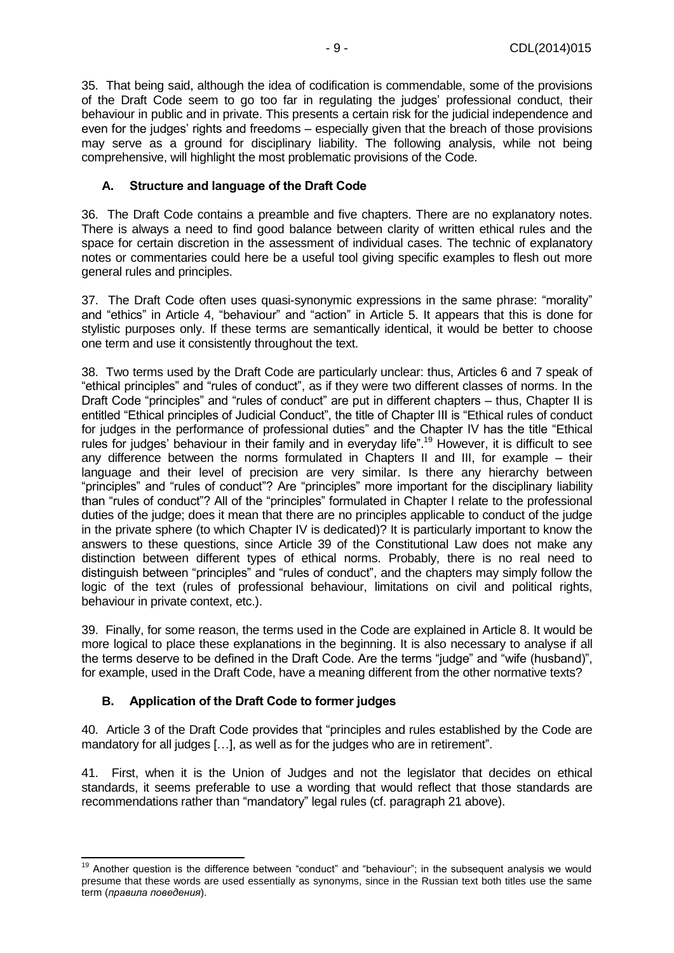35. That being said, although the idea of codification is commendable, some of the provisions of the Draft Code seem to go too far in regulating the judges' professional conduct, their behaviour in public and in private. This presents a certain risk for the judicial independence and even for the judges' rights and freedoms – especially given that the breach of those provisions may serve as a ground for disciplinary liability. The following analysis, while not being comprehensive, will highlight the most problematic provisions of the Code.

#### <span id="page-8-0"></span>**A. Structure and language of the Draft Code**

36. The Draft Code contains a preamble and five chapters. There are no explanatory notes. There is always a need to find good balance between clarity of written ethical rules and the space for certain discretion in the assessment of individual cases. The technic of explanatory notes or commentaries could here be a useful tool giving specific examples to flesh out more general rules and principles.

37. The Draft Code often uses quasi-synonymic expressions in the same phrase: "morality" and "ethics" in Article 4, "behaviour" and "action" in Article 5. It appears that this is done for stylistic purposes only. If these terms are semantically identical, it would be better to choose one term and use it consistently throughout the text.

38. Two terms used by the Draft Code are particularly unclear: thus, Articles 6 and 7 speak of "ethical principles" and "rules of conduct", as if they were two different classes of norms. In the Draft Code "principles" and "rules of conduct" are put in different chapters – thus, Chapter II is entitled "Ethical principles of Judicial Conduct", the title of Chapter III is "Ethical rules of conduct for judges in the performance of professional duties" and the Chapter IV has the title "Ethical rules for judges' behaviour in their family and in everyday life".<sup>19</sup> However, it is difficult to see any difference between the norms formulated in Chapters II and III, for example – their language and their level of precision are very similar. Is there any hierarchy between "principles" and "rules of conduct"? Are "principles" more important for the disciplinary liability than "rules of conduct"? All of the "principles" formulated in Chapter I relate to the professional duties of the judge; does it mean that there are no principles applicable to conduct of the judge in the private sphere (to which Chapter IV is dedicated)? It is particularly important to know the answers to these questions, since Article 39 of the Constitutional Law does not make any distinction between different types of ethical norms. Probably, there is no real need to distinguish between "principles" and "rules of conduct", and the chapters may simply follow the logic of the text (rules of professional behaviour, limitations on civil and political rights, behaviour in private context, etc.).

39. Finally, for some reason, the terms used in the Code are explained in Article 8. It would be more logical to place these explanations in the beginning. It is also necessary to analyse if all the terms deserve to be defined in the Draft Code. Are the terms "judge" and "wife (husband)", for example, used in the Draft Code, have a meaning different from the other normative texts?

#### <span id="page-8-1"></span>**B. Application of the Draft Code to former judges**

-

40. Article 3 of the Draft Code provides that "principles and rules established by the Code are mandatory for all judges […], as well as for the judges who are in retirement".

41. First, when it is the Union of Judges and not the legislator that decides on ethical standards, it seems preferable to use a wording that would reflect that those standards are recommendations rather than "mandatory" legal rules (cf. paragraph 21 above).

<sup>&</sup>lt;sup>19</sup> Another question is the difference between "conduct" and "behaviour"; in the subsequent analysis we would presume that these words are used essentially as synonyms, since in the Russian text both titles use the same term (*правила поведения*).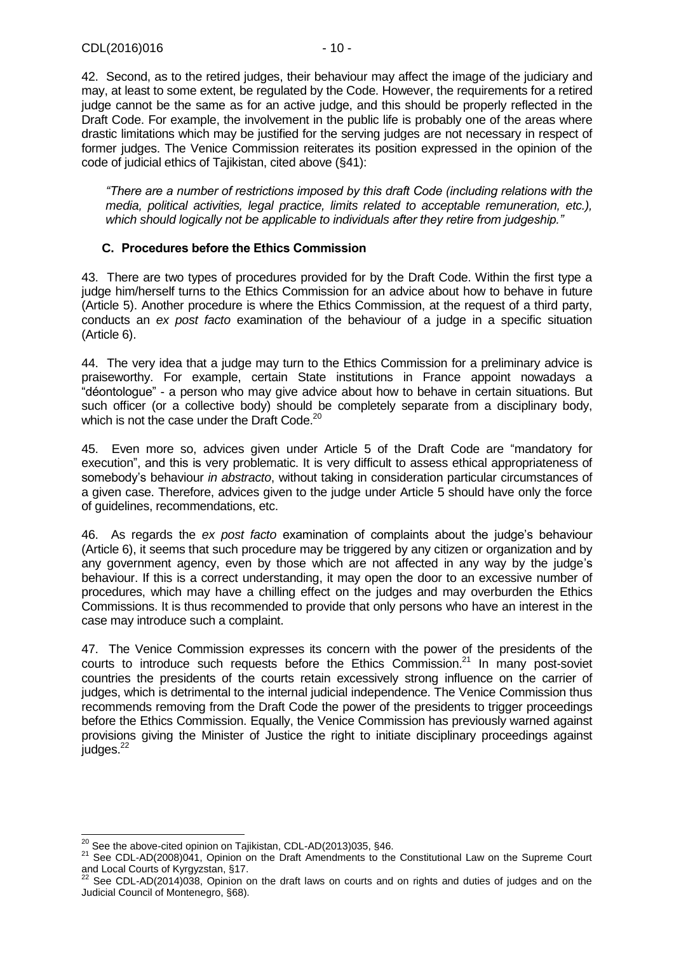42. Second, as to the retired judges, their behaviour may affect the image of the judiciary and may, at least to some extent, be regulated by the Code. However, the requirements for a retired judge cannot be the same as for an active judge, and this should be properly reflected in the Draft Code. For example, the involvement in the public life is probably one of the areas where drastic limitations which may be justified for the serving judges are not necessary in respect of former judges. The Venice Commission reiterates its position expressed in the opinion of the code of judicial ethics of Tajikistan, cited above (§41):

*"There are a number of restrictions imposed by this draft Code (including relations with the media, political activities, legal practice, limits related to acceptable remuneration, etc.), which should logically not be applicable to individuals after they retire from judgeship."*

#### <span id="page-9-0"></span>**C. Procedures before the Ethics Commission**

43. There are two types of procedures provided for by the Draft Code. Within the first type a judge him/herself turns to the Ethics Commission for an advice about how to behave in future (Article 5). Another procedure is where the Ethics Commission, at the request of a third party, conducts an *ex post facto* examination of the behaviour of a judge in a specific situation (Article 6).

44. The very idea that a judge may turn to the Ethics Commission for a preliminary advice is praiseworthy. For example, certain State institutions in France appoint nowadays a "déontologue" - a person who may give advice about how to behave in certain situations. But such officer (or a collective body) should be completely separate from a disciplinary body, which is not the case under the Draft Code.<sup>20</sup>

45. Even more so, advices given under Article 5 of the Draft Code are "mandatory for execution", and this is very problematic. It is very difficult to assess ethical appropriateness of somebody's behaviour *in abstracto*, without taking in consideration particular circumstances of a given case. Therefore, advices given to the judge under Article 5 should have only the force of guidelines, recommendations, etc.

46. As regards the *ex post facto* examination of complaints about the judge's behaviour (Article 6), it seems that such procedure may be triggered by any citizen or organization and by any government agency, even by those which are not affected in any way by the judge's behaviour. If this is a correct understanding, it may open the door to an excessive number of procedures, which may have a chilling effect on the judges and may overburden the Ethics Commissions. It is thus recommended to provide that only persons who have an interest in the case may introduce such a complaint.

47. The Venice Commission expresses its concern with the power of the presidents of the courts to introduce such requests before the Ethics Commission. $21$  In many post-soviet countries the presidents of the courts retain excessively strong influence on the carrier of judges, which is detrimental to the internal judicial independence. The Venice Commission thus recommends removing from the Draft Code the power of the presidents to trigger proceedings before the Ethics Commission. Equally, the Venice Commission has previously warned against provisions giving the Minister of Justice the right to initiate disciplinary proceedings against  $i$ udges. $^{22}$ 

<sup>-</sup> $^{20}$  See the above-cited opinion on Tajikistan, CDL-AD(2013)035, §46.

<sup>21</sup> See CDL-AD(2008)041, Opinion on the Draft Amendments to the Constitutional Law on the Supreme Court and Local Courts of Kyrgyzstan, §17.

See CDL-AD(2014)038, Opinion on the draft laws on courts and on rights and duties of judges and on the Judicial Council of Montenegro, §68).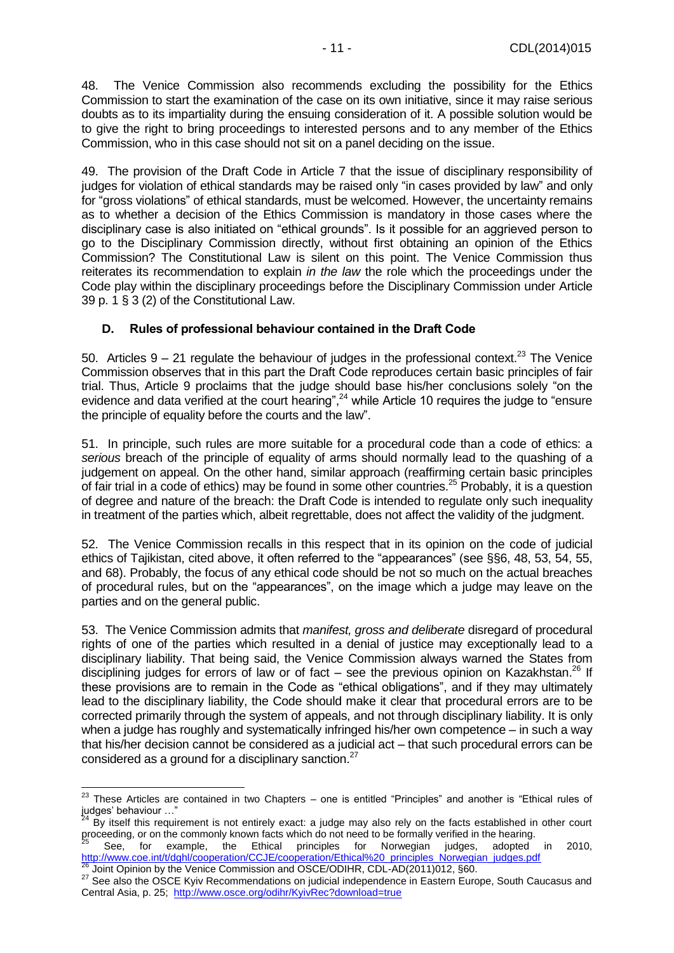48. The Venice Commission also recommends excluding the possibility for the Ethics Commission to start the examination of the case on its own initiative, since it may raise serious doubts as to its impartiality during the ensuing consideration of it. A possible solution would be to give the right to bring proceedings to interested persons and to any member of the Ethics Commission, who in this case should not sit on a panel deciding on the issue.

49. The provision of the Draft Code in Article 7 that the issue of disciplinary responsibility of judges for violation of ethical standards may be raised only "in cases provided by law" and only for "gross violations" of ethical standards, must be welcomed. However, the uncertainty remains as to whether a decision of the Ethics Commission is mandatory in those cases where the disciplinary case is also initiated on "ethical grounds". Is it possible for an aggrieved person to go to the Disciplinary Commission directly, without first obtaining an opinion of the Ethics Commission? The Constitutional Law is silent on this point. The Venice Commission thus reiterates its recommendation to explain *in the law* the role which the proceedings under the Code play within the disciplinary proceedings before the Disciplinary Commission under Article 39 p. 1 § 3 (2) of the Constitutional Law.

#### <span id="page-10-0"></span>**D. Rules of professional behaviour contained in the Draft Code**

50. Articles  $9 - 21$  regulate the behaviour of judges in the professional context.<sup>23</sup> The Venice Commission observes that in this part the Draft Code reproduces certain basic principles of fair trial. Thus, Article 9 proclaims that the judge should base his/her conclusions solely "on the evidence and data verified at the court hearing",<sup>24</sup> while Article 10 requires the judge to "ensure" the principle of equality before the courts and the law".

51. In principle, such rules are more suitable for a procedural code than a code of ethics: a *serious* breach of the principle of equality of arms should normally lead to the quashing of a judgement on appeal. On the other hand, similar approach (reaffirming certain basic principles of fair trial in a code of ethics) may be found in some other countries.<sup>25</sup> Probably, it is a question of degree and nature of the breach: the Draft Code is intended to regulate only such inequality in treatment of the parties which, albeit regrettable, does not affect the validity of the judgment.

52. The Venice Commission recalls in this respect that in its opinion on the code of judicial ethics of Tajikistan, cited above, it often referred to the "appearances" (see §§6, 48, 53, 54, 55, and 68). Probably, the focus of any ethical code should be not so much on the actual breaches of procedural rules, but on the "appearances", on the image which a judge may leave on the parties and on the general public.

53. The Venice Commission admits that *manifest, gross and deliberate* disregard of procedural rights of one of the parties which resulted in a denial of justice may exceptionally lead to a disciplinary liability. That being said, the Venice Commission always warned the States from disciplining judges for errors of law or of fact - see the previous opinion on Kazakhstan.<sup>26</sup> If these provisions are to remain in the Code as "ethical obligations", and if they may ultimately lead to the disciplinary liability, the Code should make it clear that procedural errors are to be corrected primarily through the system of appeals, and not through disciplinary liability. It is only when a judge has roughly and systematically infringed his/her own competence – in such a way that his/her decision cannot be considered as a judicial act – that such procedural errors can be considered as a ground for a disciplinary sanction.<sup>27</sup>

 $\overline{a}$ 

 $^{23}$  These Articles are contained in two Chapters – one is entitled "Principles" and another is "Ethical rules of judges' behaviour …"

By itself this requirement is not entirely exact: a judge may also rely on the facts established in other court proceeding, or on the commonly known facts which do not need to be formally verified in the hearing.

<sup>25</sup> See, for example, the Ethical principles for Norwegian judges, adopted in 2010, [http://www.coe.int/t/dghl/cooperation/CCJE/cooperation/Ethical%20\\_principles\\_Norwegian\\_judges.pdf](http://www.coe.int/t/dghl/cooperation/CCJE/cooperation/Ethical%20_principles_Norwegian_judges.pdf) Joint Opinion by the Venice Commission and OSCE/ODIHR, CDL-AD(2011)012, §60.

<sup>27</sup> See also the OSCE Kyiv Recommendations on judicial independence in Eastern Europe, South Caucasus and Central Asia, p. 25;<http://www.osce.org/odihr/KyivRec?download=true>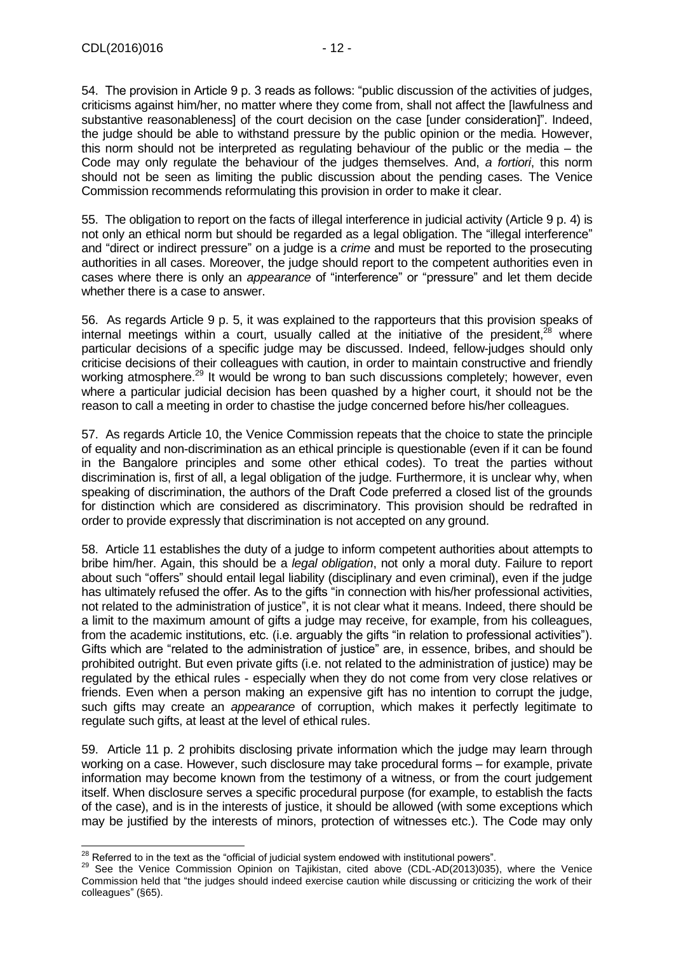54. The provision in Article 9 p. 3 reads as follows: "public discussion of the activities of judges, criticisms against him/her, no matter where they come from, shall not affect the [lawfulness and substantive reasonableness] of the court decision on the case [under consideration]". Indeed, the judge should be able to withstand pressure by the public opinion or the media. However, this norm should not be interpreted as regulating behaviour of the public or the media – the Code may only regulate the behaviour of the judges themselves. And, *a fortiori*, this norm should not be seen as limiting the public discussion about the pending cases. The Venice Commission recommends reformulating this provision in order to make it clear.

55. The obligation to report on the facts of illegal interference in judicial activity (Article 9 p. 4) is not only an ethical norm but should be regarded as a legal obligation. The "illegal interference" and "direct or indirect pressure" on a judge is a *crime* and must be reported to the prosecuting authorities in all cases. Moreover, the judge should report to the competent authorities even in cases where there is only an *appearance* of "interference" or "pressure" and let them decide whether there is a case to answer.

56. As regards Article 9 p. 5, it was explained to the rapporteurs that this provision speaks of internal meetings within a court, usually called at the initiative of the president, $28$  where particular decisions of a specific judge may be discussed. Indeed, fellow-judges should only criticise decisions of their colleagues with caution, in order to maintain constructive and friendly working atmosphere.<sup>29</sup> It would be wrong to ban such discussions completely; however, even where a particular judicial decision has been quashed by a higher court, it should not be the reason to call a meeting in order to chastise the judge concerned before his/her colleagues.

57. As regards Article 10, the Venice Commission repeats that the choice to state the principle of equality and non-discrimination as an ethical principle is questionable (even if it can be found in the Bangalore principles and some other ethical codes). To treat the parties without discrimination is, first of all, a legal obligation of the judge. Furthermore, it is unclear why, when speaking of discrimination, the authors of the Draft Code preferred a closed list of the grounds for distinction which are considered as discriminatory. This provision should be redrafted in order to provide expressly that discrimination is not accepted on any ground.

58. Article 11 establishes the duty of a judge to inform competent authorities about attempts to bribe him/her. Again, this should be a *legal obligation*, not only a moral duty. Failure to report about such "offers" should entail legal liability (disciplinary and even criminal), even if the judge has ultimately refused the offer. As to the gifts "in connection with his/her professional activities, not related to the administration of justice", it is not clear what it means. Indeed, there should be a limit to the maximum amount of gifts a judge may receive, for example, from his colleagues, from the academic institutions, etc. (i.e. arguably the gifts "in relation to professional activities"). Gifts which are "related to the administration of justice" are, in essence, bribes, and should be prohibited outright. But even private gifts (i.e. not related to the administration of justice) may be regulated by the ethical rules - especially when they do not come from very close relatives or friends. Even when a person making an expensive gift has no intention to corrupt the judge, such gifts may create an *appearance* of corruption, which makes it perfectly legitimate to regulate such gifts, at least at the level of ethical rules.

59. Article 11 p. 2 prohibits disclosing private information which the judge may learn through working on a case. However, such disclosure may take procedural forms – for example, private information may become known from the testimony of a witness, or from the court judgement itself. When disclosure serves a specific procedural purpose (for example, to establish the facts of the case), and is in the interests of justice, it should be allowed (with some exceptions which may be justified by the interests of minors, protection of witnesses etc.). The Code may only

 $\overline{a}$  $^{28}$  Referred to in the text as the "official of judicial system endowed with institutional powers".

<sup>&</sup>lt;sup>29</sup> See the Venice Commission Opinion on Tajikistan, cited above (CDL-AD(2013)035), where the Venice Commission held that "the judges should indeed exercise caution while discussing or criticizing the work of their colleagues" (§65).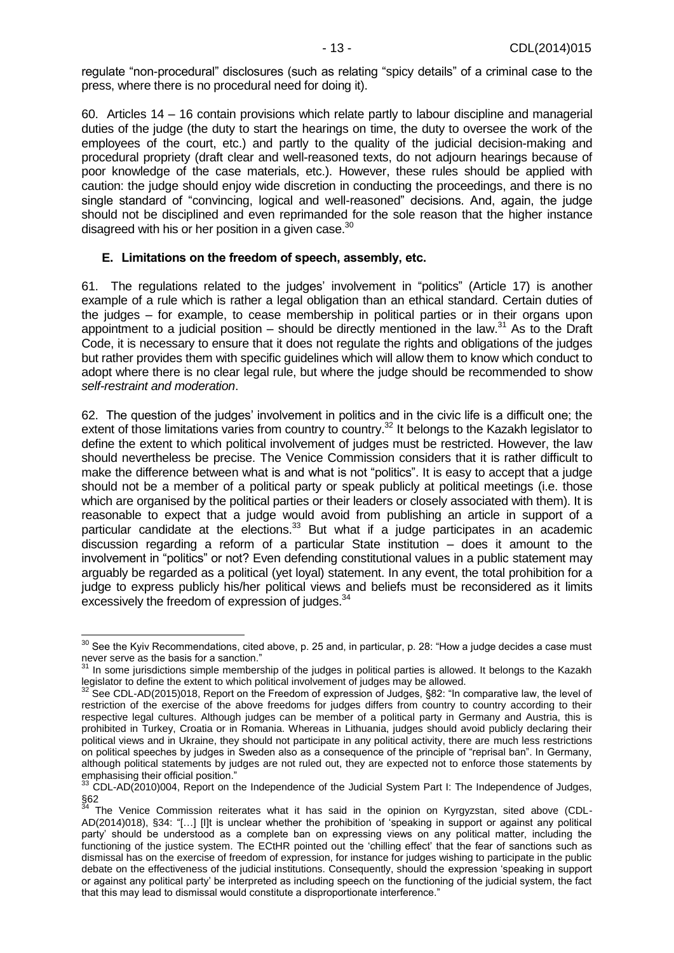regulate "non-procedural" disclosures (such as relating "spicy details" of a criminal case to the press, where there is no procedural need for doing it).

60. Articles 14 – 16 contain provisions which relate partly to labour discipline and managerial duties of the judge (the duty to start the hearings on time, the duty to oversee the work of the employees of the court, etc.) and partly to the quality of the judicial decision-making and procedural propriety (draft clear and well-reasoned texts, do not adjourn hearings because of poor knowledge of the case materials, etc.). However, these rules should be applied with caution: the judge should enjoy wide discretion in conducting the proceedings, and there is no single standard of "convincing, logical and well-reasoned" decisions. And, again, the judge should not be disciplined and even reprimanded for the sole reason that the higher instance disagreed with his or her position in a given case.<sup>30</sup>

#### <span id="page-12-0"></span>**E. Limitations on the freedom of speech, assembly, etc.**

61. The regulations related to the judges' involvement in "politics" (Article 17) is another example of a rule which is rather a legal obligation than an ethical standard. Certain duties of the judges – for example, to cease membership in political parties or in their organs upon appointment to a judicial position – should be directly mentioned in the law.<sup>31</sup> As to the Draft Code, it is necessary to ensure that it does not regulate the rights and obligations of the judges but rather provides them with specific guidelines which will allow them to know which conduct to adopt where there is no clear legal rule, but where the judge should be recommended to show *self-restraint and moderation*.

62. The question of the judges' involvement in politics and in the civic life is a difficult one; the extent of those limitations varies from country to country.<sup>32</sup> It belongs to the Kazakh legislator to define the extent to which political involvement of judges must be restricted. However, the law should nevertheless be precise. The Venice Commission considers that it is rather difficult to make the difference between what is and what is not "politics". It is easy to accept that a judge should not be a member of a political party or speak publicly at political meetings (i.e. those which are organised by the political parties or their leaders or closely associated with them). It is reasonable to expect that a judge would avoid from publishing an article in support of a particular candidate at the elections. $33$  But what if a judge participates in an academic discussion regarding a reform of a particular State institution – does it amount to the involvement in "politics" or not? Even defending constitutional values in a public statement may arguably be regarded as a political (yet loyal) statement. In any event, the total prohibition for a judge to express publicly his/her political views and beliefs must be reconsidered as it limits excessively the freedom of expression of judges.<sup>34</sup>

 $\overline{a}$ 

 $30$  See the Kyiv Recommendations, cited above, p. 25 and, in particular, p. 28: "How a judge decides a case must never serve as the basis for a sanction."

 $31$  In some jurisdictions simple membership of the judges in political parties is allowed. It belongs to the Kazakh legislator to define the extent to which political involvement of judges may be allowed.

See CDL-AD(2015)018, Report on the Freedom of expression of Judges, §82: "In comparative law, the level of restriction of the exercise of the above freedoms for judges differs from country to country according to their respective legal cultures. Although judges can be member of a political party in Germany and Austria, this is prohibited in Turkey, Croatia or in Romania. Whereas in Lithuania, judges should avoid publicly declaring their political views and in Ukraine, they should not participate in any political activity, there are much less restrictions on political speeches by judges in Sweden also as a consequence of the principle of "reprisal ban". In Germany, although political statements by judges are not ruled out, they are expected not to enforce those statements by emphasising their official position."

 $33$  CDL-AD(2010)004, Report on the Independence of the Judicial System Part I: The Independence of Judges,  $\frac{\$62}{34}$ 

The Venice Commission reiterates what it has said in the opinion on Kyrgyzstan, sited above (CDL-AD(2014)018), §34: "[…] [I]t is unclear whether the prohibition of 'speaking in support or against any political party' should be understood as a complete ban on expressing views on any political matter, including the functioning of the justice system. The ECtHR pointed out the 'chilling effect' that the fear of sanctions such as dismissal has on the exercise of freedom of expression, for instance for judges wishing to participate in the public debate on the effectiveness of the judicial institutions. Consequently, should the expression 'speaking in support or against any political party' be interpreted as including speech on the functioning of the judicial system, the fact that this may lead to dismissal would constitute a disproportionate interference."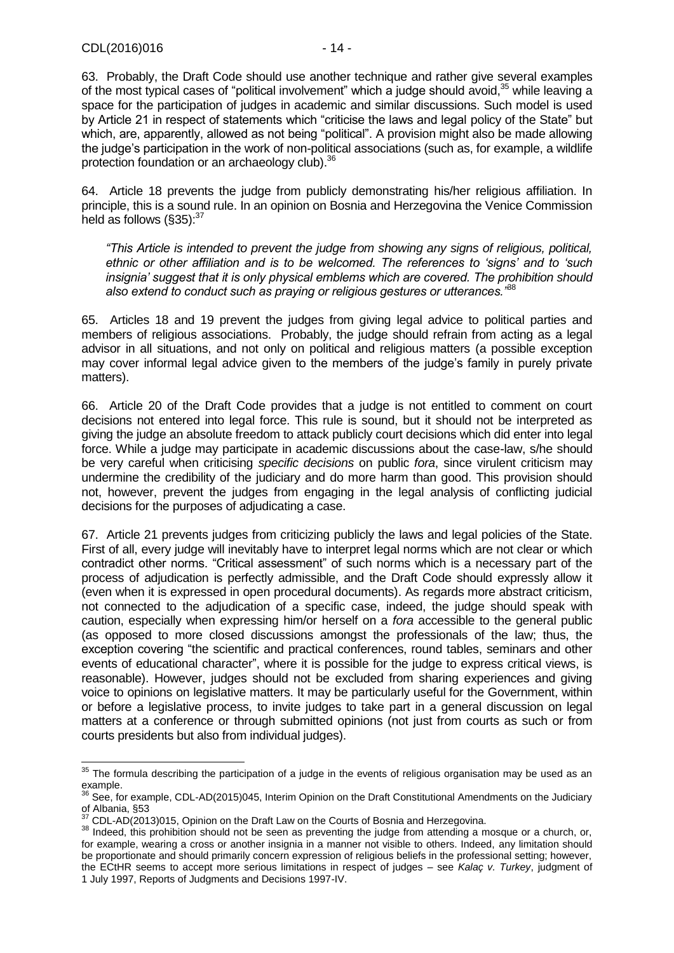-

63. Probably, the Draft Code should use another technique and rather give several examples of the most typical cases of "political involvement" which a judge should avoid,<sup>35</sup> while leaving a space for the participation of judges in academic and similar discussions. Such model is used by Article 21 in respect of statements which "criticise the laws and legal policy of the State" but which, are, apparently, allowed as not being "political". A provision might also be made allowing the judge's participation in the work of non-political associations (such as, for example, a wildlife protection foundation or an archaeology club).<sup>36</sup>

64. Article 18 prevents the judge from publicly demonstrating his/her religious affiliation. In principle, this is a sound rule. In an opinion on Bosnia and Herzegovina the Venice Commission held as follows  $(\S 35)^{37}$ 

*"This Article is intended to prevent the judge from showing any signs of religious, political, ethnic or other affiliation and is to be welcomed. The references to 'signs' and to 'such insignia' suggest that it is only physical emblems which are covered. The prohibition should also extend to conduct such as praying or religious gestures or utterances."*<sup>38</sup>

65. Articles 18 and 19 prevent the judges from giving legal advice to political parties and members of religious associations. Probably, the judge should refrain from acting as a legal advisor in all situations, and not only on political and religious matters (a possible exception may cover informal legal advice given to the members of the judge's family in purely private matters).

66. Article 20 of the Draft Code provides that a judge is not entitled to comment on court decisions not entered into legal force. This rule is sound, but it should not be interpreted as giving the judge an absolute freedom to attack publicly court decisions which did enter into legal force. While a judge may participate in academic discussions about the case-law, s/he should be very careful when criticising *specific decisions* on public *fora*, since virulent criticism may undermine the credibility of the judiciary and do more harm than good. This provision should not, however, prevent the judges from engaging in the legal analysis of conflicting judicial decisions for the purposes of adjudicating a case.

67. Article 21 prevents judges from criticizing publicly the laws and legal policies of the State. First of all, every judge will inevitably have to interpret legal norms which are not clear or which contradict other norms. "Critical assessment" of such norms which is a necessary part of the process of adjudication is perfectly admissible, and the Draft Code should expressly allow it (even when it is expressed in open procedural documents). As regards more abstract criticism, not connected to the adjudication of a specific case, indeed, the judge should speak with caution, especially when expressing him/or herself on a *fora* accessible to the general public (as opposed to more closed discussions amongst the professionals of the law; thus, the exception covering "the scientific and practical conferences, round tables, seminars and other events of educational character", where it is possible for the judge to express critical views, is reasonable). However, judges should not be excluded from sharing experiences and giving voice to opinions on legislative matters. It may be particularly useful for the Government, within or before a legislative process, to invite judges to take part in a general discussion on legal matters at a conference or through submitted opinions (not just from courts as such or from courts presidents but also from individual judges).

 $35$  The formula describing the participation of a judge in the events of religious organisation may be used as an example.

See, for example, CDL-AD(2015)045, Interim Opinion on the Draft Constitutional Amendments on the Judiciary of Albania, §53

<sup>37</sup> CDL-AD(2013)015, Opinion on the Draft Law on the Courts of Bosnia and Herzegovina.

<sup>38</sup> Indeed, this prohibition should not be seen as preventing the judge from attending a mosque or a church, or, for example, wearing a cross or another insignia in a manner not visible to others. Indeed, any limitation should be proportionate and should primarily concern expression of religious beliefs in the professional setting; however, the ECtHR seems to accept more serious limitations in respect of judges – see *Kalaç v. Turkey*, judgment of 1 July 1997, Reports of Judgments and Decisions 1997-IV.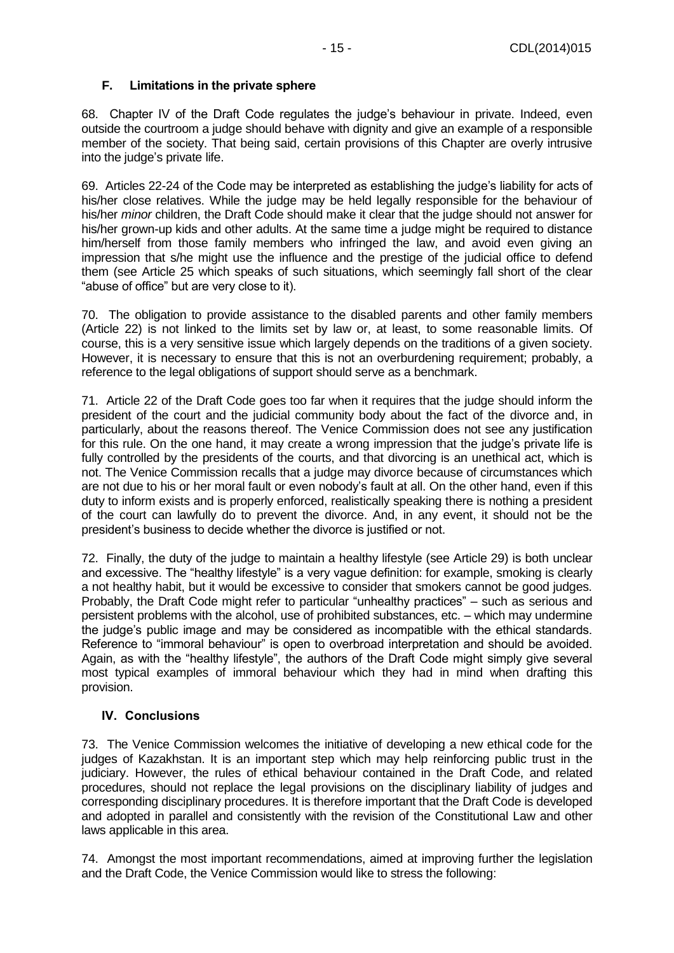### <span id="page-14-0"></span>**F. Limitations in the private sphere**

68. Chapter IV of the Draft Code regulates the judge's behaviour in private. Indeed, even outside the courtroom a judge should behave with dignity and give an example of a responsible member of the society. That being said, certain provisions of this Chapter are overly intrusive into the judge's private life.

69. Articles 22-24 of the Code may be interpreted as establishing the judge's liability for acts of his/her close relatives. While the judge may be held legally responsible for the behaviour of his/her *minor* children, the Draft Code should make it clear that the judge should not answer for his/her grown-up kids and other adults. At the same time a judge might be required to distance him/herself from those family members who infringed the law, and avoid even giving an impression that s/he might use the influence and the prestige of the judicial office to defend them (see Article 25 which speaks of such situations, which seemingly fall short of the clear "abuse of office" but are very close to it).

70. The obligation to provide assistance to the disabled parents and other family members (Article 22) is not linked to the limits set by law or, at least, to some reasonable limits. Of course, this is a very sensitive issue which largely depends on the traditions of a given society. However, it is necessary to ensure that this is not an overburdening requirement; probably, a reference to the legal obligations of support should serve as a benchmark.

71. Article 22 of the Draft Code goes too far when it requires that the judge should inform the president of the court and the judicial community body about the fact of the divorce and, in particularly, about the reasons thereof. The Venice Commission does not see any justification for this rule. On the one hand, it may create a wrong impression that the judge's private life is fully controlled by the presidents of the courts, and that divorcing is an unethical act, which is not. The Venice Commission recalls that a judge may divorce because of circumstances which are not due to his or her moral fault or even nobody's fault at all. On the other hand, even if this duty to inform exists and is properly enforced, realistically speaking there is nothing a president of the court can lawfully do to prevent the divorce. And, in any event, it should not be the president's business to decide whether the divorce is justified or not.

72. Finally, the duty of the judge to maintain a healthy lifestyle (see Article 29) is both unclear and excessive. The "healthy lifestyle" is a very vague definition: for example, smoking is clearly a not healthy habit, but it would be excessive to consider that smokers cannot be good judges. Probably, the Draft Code might refer to particular "unhealthy practices" – such as serious and persistent problems with the alcohol, use of prohibited substances, etc. – which may undermine the judge's public image and may be considered as incompatible with the ethical standards. Reference to "immoral behaviour" is open to overbroad interpretation and should be avoided. Again, as with the "healthy lifestyle", the authors of the Draft Code might simply give several most typical examples of immoral behaviour which they had in mind when drafting this provision.

### <span id="page-14-1"></span>**IV. Conclusions**

73. The Venice Commission welcomes the initiative of developing a new ethical code for the judges of Kazakhstan. It is an important step which may help reinforcing public trust in the judiciary. However, the rules of ethical behaviour contained in the Draft Code, and related procedures, should not replace the legal provisions on the disciplinary liability of judges and corresponding disciplinary procedures. It is therefore important that the Draft Code is developed and adopted in parallel and consistently with the revision of the Constitutional Law and other laws applicable in this area.

74. Amongst the most important recommendations, aimed at improving further the legislation and the Draft Code, the Venice Commission would like to stress the following: